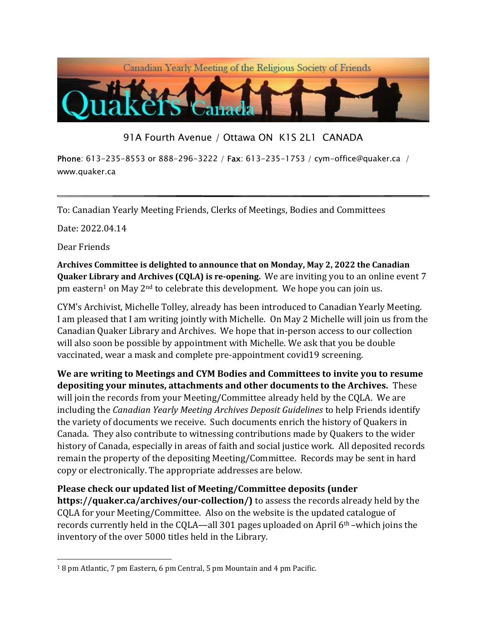

91A Fourth Avenue / Ottawa ON K1S 2L1 CANADA

Phone: 613-235-8553 or 888-296-3222 / Fax: 613-235-1753 / cym-office@quaker.ca / www.quaker.ca

To: Canadian Yearly Meeting Friends, Clerks of Meetings, Bodies and Committees

Date: 2022.04.14

Dear Friends

Archives Committee is delighted to announce that on Monday, May 2, 2022 the Canadian Quaker Library and Archives (CQLA) is re-opening. We are inviting you to an online event 7 pm eastern<sup>1</sup> on May 2<sup>nd</sup> to celebrate this development. We hope you can join us.

CYM's Archivist, Michelle Tolley, already has been introduced to Canadian Yearly Meeting. I am pleased that I am writing jointly with Michelle. On May 2 Michelle will join us from the Canadian Quaker Library and Archives. We hope that in-person access to our collection will also soon be possible by appointment with Michelle. We ask that you be double vaccinated, wear a mask and complete pre-appointment covid19 screening.

We are writing to Meetings and CYM Bodies and Committees to invite you to resume depositing your minutes, attachments and other documents to the Archives. These will join the records from your Meeting/Committee already held by the CQLA. We are including the Canadian Yearly Meeting Archives Deposit Guidelines to help Friends identify the variety of documents we receive. Such documents enrich the history of Quakers in Canada. They also contribute to witnessing contributions made by Quakers to the wider history of Canada, especially in areas of faith and social justice work. All deposited records remain the property of the depositing Meeting/Committee. Records may be sent in hard copy or electronically. The appropriate addresses are below.

Please check our updated list of Meeting/Committee deposits (under https://quaker.ca/archives/our-collection/) to assess the records already held by the CQLA for your Meeting/Committee. Also on the website is the updated catalogue of records currently held in the CQLA—all 301 pages uploaded on April 6<sup>th</sup> –which joins the inventory of the over 5000 titles held in the Library.

<sup>1</sup> 8 pm Atlantic, 7 pm Eastern, 6 pm Central, 5 pm Mountain and 4 pm Pacific.